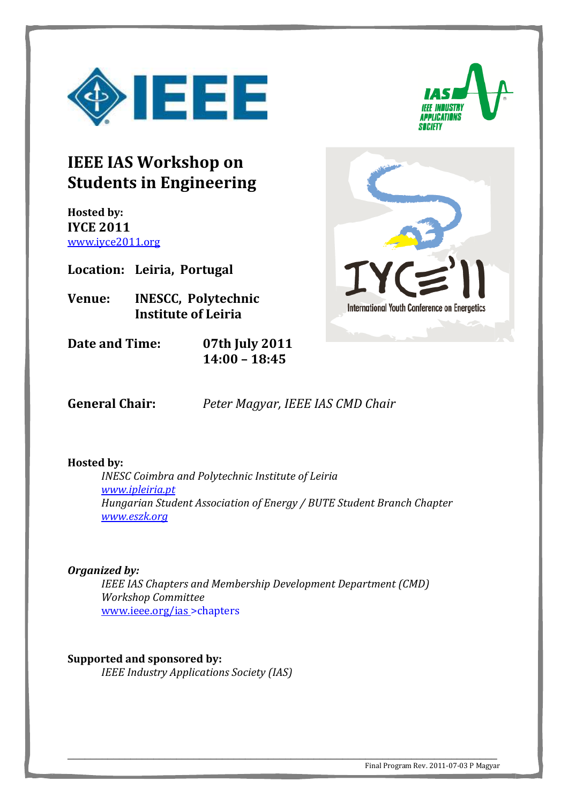



## **IEEE IAS Workshop on Students in Engineering**

**Hosted by: IYCE 2011**  www.iyce2011.org

**Location: Leiria, Portugal** 

**Venue: INESCC, Polytechnic Institute of Leiria** 

**Date and Time: 07th July 2011 14:00 – 18:45** 



**General Chair:** *Peter Magyar, IEEE IAS CMD Chair*

## **Hosted by:**

*INESC Coimbra and Polytechnic Institute of Leiria www.ipleiria.pt Hungarian Student Association of Energy / BUTE Student Branch Chapter www.eszk.org* 

## *Organized by:*

*IEEE IAS Chapters and Membership Development Department (CMD) Workshop Committee*  www.ieee.org/ias >chapters

\_\_\_\_\_\_\_\_\_\_\_\_\_\_\_\_\_\_\_\_\_\_\_\_\_\_\_\_\_\_\_\_\_\_\_\_\_\_\_\_\_\_\_\_\_\_\_\_\_\_\_\_\_\_\_\_\_\_\_\_\_\_\_\_\_\_\_\_\_\_\_\_\_\_\_

**Supported and sponsored by:**  *IEEE Industry Applications Society (IAS)*